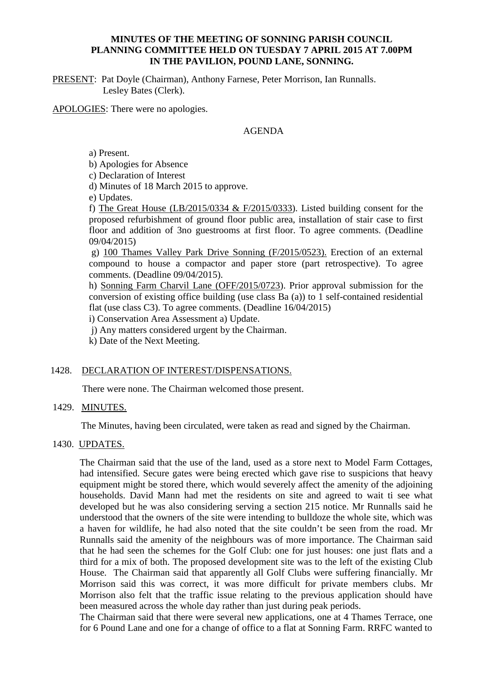## **MINUTES OF THE MEETING OF SONNING PARISH COUNCIL PLANNING COMMITTEE HELD ON TUESDAY 7 APRIL 2015 AT 7.00PM IN THE PAVILION, POUND LANE, SONNING.**

PRESENT: Pat Doyle (Chairman), Anthony Farnese, Peter Morrison, Ian Runnalls. Lesley Bates (Clerk).

APOLOGIES: There were no apologies.

## AGENDA

a) Present.

b) Apologies for Absence

c) Declaration of Interest

d) Minutes of 18 March 2015 to approve.

e) Updates.

f) The Great House (LB/2015/0334  $&$  F/2015/0333). Listed building consent for the proposed refurbishment of ground floor public area, installation of stair case to first floor and addition of 3no guestrooms at first floor. To agree comments. (Deadline 09/04/2015)

g) 100 Thames Valley Park Drive Sonning (F/2015/0523). Erection of an external compound to house a compactor and paper store (part retrospective). To agree comments. (Deadline 09/04/2015).

h) Sonning Farm Charvil Lane (OFF/2015/0723). Prior approval submission for the conversion of existing office building (use class Ba (a)) to 1 self-contained residential flat (use class C3). To agree comments. (Deadline 16/04/2015)

i) Conservation Area Assessment a) Update.

j) Any matters considered urgent by the Chairman.

k) Date of the Next Meeting.

## 1428. DECLARATION OF INTEREST/DISPENSATIONS.

There were none. The Chairman welcomed those present.

## 1429. MINUTES.

The Minutes, having been circulated, were taken as read and signed by the Chairman.

# 1430. UPDATES.

The Chairman said that the use of the land, used as a store next to Model Farm Cottages, had intensified. Secure gates were being erected which gave rise to suspicions that heavy equipment might be stored there, which would severely affect the amenity of the adjoining households. David Mann had met the residents on site and agreed to wait ti see what developed but he was also considering serving a section 215 notice. Mr Runnalls said he understood that the owners of the site were intending to bulldoze the whole site, which was a haven for wildlife, he had also noted that the site couldn't be seen from the road. Mr Runnalls said the amenity of the neighbours was of more importance. The Chairman said that he had seen the schemes for the Golf Club: one for just houses: one just flats and a third for a mix of both. The proposed development site was to the left of the existing Club House. The Chairman said that apparently all Golf Clubs were suffering financially. Mr Morrison said this was correct, it was more difficult for private members clubs. Mr Morrison also felt that the traffic issue relating to the previous application should have been measured across the whole day rather than just during peak periods.

The Chairman said that there were several new applications, one at 4 Thames Terrace, one for 6 Pound Lane and one for a change of office to a flat at Sonning Farm. RRFC wanted to